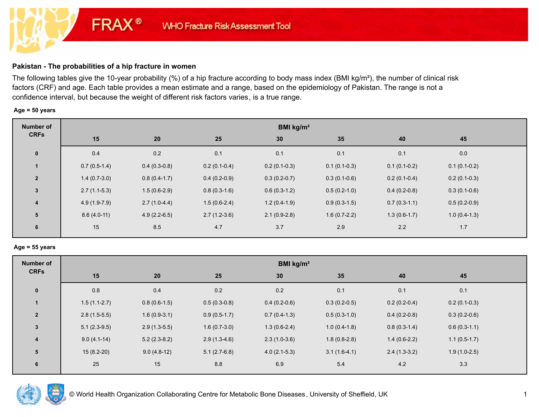# **Pakistan - The probabilities of a hip fracture in women**

**FRAX®** 

The following tables give the 10-year probability (%) of a hip fracture according to body mass index (BMI kg/m²), the number of clinical risk factors (CRF) and age. Each table provides a mean estimate and a range, based on the epidemiology of Pakistan. The range is not a confidence interval, but because the weight of different risk factors varies, is a true range.

## **Age = 50 years**

| Number of      | BMI kg/m <sup>2</sup> |                |                |                |                |                |                |  |
|----------------|-----------------------|----------------|----------------|----------------|----------------|----------------|----------------|--|
| <b>CRFs</b>    | 15                    | 20             | 25             | 30             | 35             | 40             | 45             |  |
| $\mathbf 0$    | 0.4                   | 0.2            | 0.1            | 0.1            | 0.1            | 0.1            | 0.0            |  |
|                | $0.7(0.5-1.4)$        | $0.4(0.3-0.8)$ | $0.2(0.1-0.4)$ | $0.2(0.1-0.3)$ | $0.1(0.1-0.3)$ | $0.1(0.1-0.2)$ | $0.1(0.1-0.2)$ |  |
| $\overline{2}$ | $1.4(0.7-3.0)$        | $0.8(0.4-1.7)$ | $0.4(0.2-0.9)$ | $0.3(0.2-0.7)$ | $0.3(0.1-0.6)$ | $0.2(0.1-0.4)$ | $0.2(0.1-0.3)$ |  |
| $\mathbf{3}$   | $2.7(1.1-5.3)$        | $1.5(0.6-2.9)$ | $0.8(0.3-1.6)$ | $0.6(0.3-1.2)$ | $0.5(0.2-1.0)$ | $0.4(0.2-0.8)$ | $0.3(0.1-0.6)$ |  |
| $\overline{4}$ | $4.9(1.9-7.9)$        | $2.7(1.0-4.4)$ | $1.5(0.6-2.4)$ | $1.2(0.4-1.9)$ | $0.9(0.3-1.5)$ | $0.7(0.3-1.1)$ | $0.5(0.2-0.9)$ |  |
| 5              | $8.6(4.0-11)$         | $4.9(2.2-6.5)$ | $2.7(1.2-3.6)$ | $2.1(0.9-2.8)$ | $1.6(0.7-2.2)$ | $1.3(0.6-1.7)$ | $1.0(0.4-1.3)$ |  |
| 6              | 15                    | 8.5            | 4.7            | 3.7            | 2.9            | 2.2            | 1.7            |  |

#### **Age = 55 years**

| Number of               | BMI $kg/m2$    |                |                |                |                |                |                |  |
|-------------------------|----------------|----------------|----------------|----------------|----------------|----------------|----------------|--|
| <b>CRFs</b>             | 15             | 20             | 25             | 30             | 35             | 40             | 45             |  |
| $\pmb{0}$               | 0.8            | 0.4            | 0.2            | 0.2            | 0.1            | 0.1            | 0.1            |  |
|                         | $1.5(1.1-2.7)$ | $0.8(0.6-1.5)$ | $0.5(0.3-0.8)$ | $0.4(0.2-0.6)$ | $0.3(0.2-0.5)$ | $0.2(0.2-0.4)$ | $0.2(0.1-0.3)$ |  |
| $\overline{2}$          | $2.8(1.5-5.5)$ | $1.6(0.9-3.1)$ | $0.9(0.5-1.7)$ | $0.7(0.4-1.3)$ | $0.5(0.3-1.0)$ | $0.4(0.2-0.8)$ | $0.3(0.2-0.6)$ |  |
| $\overline{3}$          | $5.1(2.3-9.5)$ | $2.9(1.3-5.5)$ | $1.6(0.7-3.0)$ | $1.3(0.6-2.4)$ | $1.0(0.4-1.8)$ | $0.8(0.3-1.4)$ | $0.6(0.3-1.1)$ |  |
| $\overline{\mathbf{4}}$ | $9.0(4.1-14)$  | $5.2(2.3-8.2)$ | $2.9(1.3-4.6)$ | $2.3(1.0-3.6)$ | $1.8(0.8-2.8)$ | $1.4(0.6-2.2)$ | $1.1(0.5-1.7)$ |  |
| 5                       | $15(8.2-20)$   | $9.0(4.8-12)$  | $5.1(2.7-6.8)$ | $4.0(2.1-5.3)$ | $3.1(1.6-4.1)$ | $2.4(1.3-3.2)$ | $1.9(1.0-2.5)$ |  |
| 6                       | 25             | 15             | 8.8            | 6.9            | 5.4            | 4.2            | 3.3            |  |

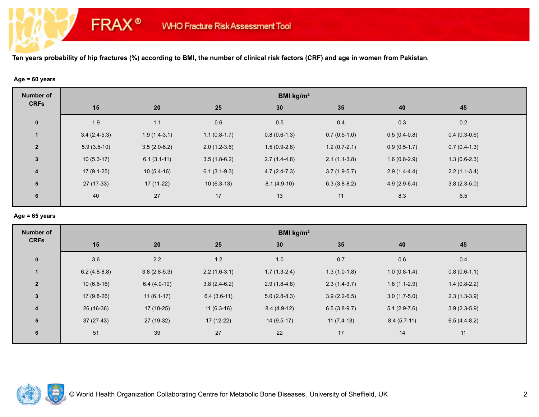## **Age = 60 years**

**FRAX®** 

| <b>Number of</b>        | BMI kg/m <sup>2</sup> |                |                |                |                |                |                |  |  |
|-------------------------|-----------------------|----------------|----------------|----------------|----------------|----------------|----------------|--|--|
| <b>CRFs</b>             | 15                    | 20             | 25             | 30             | 35             | 40             | 45             |  |  |
| $\mathbf 0$             | 1.9                   | 1.1            | 0.6            | 0.5            | 0.4            | 0.3            | 0.2            |  |  |
|                         | $3.4(2.4-5.3)$        | $1.9(1.4-3.1)$ | $1.1(0.8-1.7)$ | $0.8(0.6-1.3)$ | $0.7(0.5-1.0)$ | $0.5(0.4-0.8)$ | $0.4(0.3-0.6)$ |  |  |
| $\overline{2}$          | $5.9(3.5-10)$         | $3.5(2.0-6.2)$ | $2.0(1.2-3.6)$ | $1.5(0.9-2.8)$ | $1.2(0.7-2.1)$ | $0.9(0.5-1.7)$ | $0.7(0.4-1.3)$ |  |  |
| $3\phantom{a}$          | $10(5.3-17)$          | $6.1(3.1-11)$  | $3.5(1.8-6.2)$ | $2.7(1.4-4.8)$ | $2.1(1.1-3.8)$ | $1.6(0.8-2.9)$ | $1.3(0.6-2.3)$ |  |  |
| $\overline{\mathbf{4}}$ | $17(9.1-25)$          | $10(5.4-16)$   | $6.1(3.1-9.3)$ | $4.7(2.4-7.3)$ | $3.7(1.9-5.7)$ | $2.9(1.4-4.4)$ | $2.2(1.1-3.4)$ |  |  |
| 5                       | $27(17-33)$           | $17(11-22)$    | $10(6.3-13)$   | $8.1(4.9-10)$  | $6.3(3.8-8.2)$ | $4.9(2.9-6.4)$ | $3.8(2.3-5.0)$ |  |  |
| 6                       | 40                    | 27             | 17             | 13             | 11             | 8.3            | 6.5            |  |  |

#### **Age = 65 years**

| <b>Number of</b>        | BMI kg/m <sup>2</sup> |                |                |                |                |                |                |  |  |
|-------------------------|-----------------------|----------------|----------------|----------------|----------------|----------------|----------------|--|--|
| <b>CRFs</b>             | 15                    | 20             | 25             | 30             | 35             | 40             | 45             |  |  |
| $\mathbf 0$             | 3.6                   | 2.2            | 1.2            | 1.0            | 0.7            | 0.6            | 0.4            |  |  |
| $\mathbf{1}$            | $6.2(4.8-8.8)$        | $3.8(2.8-5.3)$ | $2.2(1.6-3.1)$ | $1.7(1.3-2.4)$ | $1.3(1.0-1.8)$ | $1.0(0.8-1.4)$ | $0.8(0.6-1.1)$ |  |  |
| $\overline{2}$          | $10(6.6-16)$          | $6.4(4.0-10)$  | $3.8(2.4-6.2)$ | $2.9(1.8-4.8)$ | $2.3(1.4-3.7)$ | $1.8(1.1-2.9)$ | $1.4(0.8-2.2)$ |  |  |
| $\mathbf{3}$            | $17(9.8-26)$          | $11(6.1-17)$   | $6.4(3.6-11)$  | $5.0(2.8-8.3)$ | $3.9(2.2-6.5)$ | $3.0(1.7-5.0)$ | $2.3(1.3-3.9)$ |  |  |
| $\overline{\mathbf{4}}$ | 26 (16-36)            | $17(10-25)$    | $11(6.3-16)$   | $8.4(4.9-12)$  | $6.5(3.8-9.7)$ | $5.1(2.9-7.6)$ | $3.9(2.3-5.9)$ |  |  |
| 5                       | $37(27-43)$           | 27 (19-32)     | $17(12-22)$    | $14(9.5-17)$   | $11(7.4-13)$   | $8.4(5.7-11)$  | $6.5(4.4-8.2)$ |  |  |
| 6                       | 51                    | 39             | 27             | 22             | 17             | 14             | 11             |  |  |

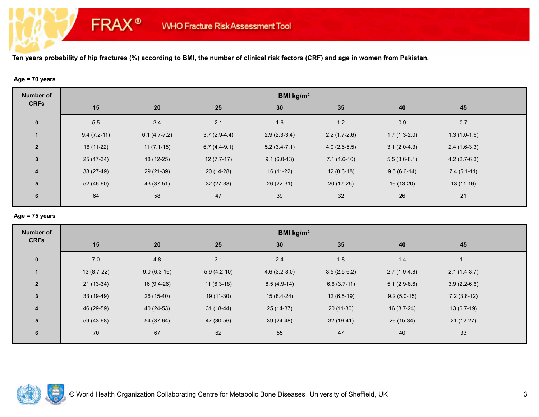## **Age = 70 years**

**FRAX®** 

| <b>Number of</b>        | BMI kg/m <sup>2</sup> |                |                |                |                |                |                |  |  |
|-------------------------|-----------------------|----------------|----------------|----------------|----------------|----------------|----------------|--|--|
| <b>CRFs</b>             | 15                    | 20             | 25             | 30             | 35             | 40             | 45             |  |  |
| $\mathbf 0$             | 5.5                   | 3.4            | 2.1            | 1.6            | $1.2$          | 0.9            | 0.7            |  |  |
|                         | $9.4(7.2-11)$         | $6.1(4.7-7.2)$ | $3.7(2.9-4.4)$ | $2.9(2.3-3.4)$ | $2.2(1.7-2.6)$ | $1.7(1.3-2.0)$ | $1.3(1.0-1.6)$ |  |  |
| $\overline{2}$          | $16(11-22)$           | $11(7.1-15)$   | $6.7(4.4-9.1)$ | $5.2(3.4-7.1)$ | $4.0(2.6-5.5)$ | $3.1(2.0-4.3)$ | $2.4(1.6-3.3)$ |  |  |
| $\mathbf{3}$            | 25 (17-34)            | 18 (12-25)     | $12(7.7-17)$   | $9.1(6.0-13)$  | $7.1(4.6-10)$  | $5.5(3.6-8.1)$ | $4.2(2.7-6.3)$ |  |  |
| $\overline{\mathbf{4}}$ | 38 (27-49)            | 29 (21-39)     | $20(14-28)$    | 16 (11-22)     | $12(8.6-18)$   | $9.5(6.6-14)$  | $7.4(5.1-11)$  |  |  |
| 5                       | $52(46-60)$           | 43 (37-51)     | $32(27-38)$    | 26 (22-31)     | $20(17-25)$    | $16(13-20)$    | $13(11-16)$    |  |  |
| 6                       | 64                    | 58             | 47             | 39             | 32             | 26             | 21             |  |  |
|                         |                       |                |                |                |                |                |                |  |  |

#### **Age = 75 years**

| <b>Number of</b> | BMI kg/m <sup>2</sup> |               |               |                 |                |                |                |  |  |
|------------------|-----------------------|---------------|---------------|-----------------|----------------|----------------|----------------|--|--|
| <b>CRFs</b>      | 15                    | 20            | 25            | 30 <sup>°</sup> | 35             | 40             | 45             |  |  |
| $\mathbf 0$      | 7.0                   | 4.8           | 3.1           | 2.4             | 1.8            | 1.4            | $1.1$          |  |  |
|                  | $13(8.7-22)$          | $9.0(6.3-16)$ | $5.9(4.2-10)$ | $4.6(3.2-8.0)$  | $3.5(2.5-6.2)$ | $2.7(1.9-4.8)$ | $2.1(1.4-3.7)$ |  |  |
| $\overline{2}$   | $21(13-34)$           | 16 (9.4-26)   | $11(6.3-18)$  | $8.5(4.9-14)$   | $6.6(3.7-11)$  | $5.1(2.9-8.6)$ | $3.9(2.2-6.6)$ |  |  |
| $\mathbf{3}$     | $33(19-49)$           | $26(15-40)$   | 19 (11-30)    | $15(8.4-24)$    | $12(6.5-19)$   | $9.2(5.0-15)$  | $7.2(3.8-12)$  |  |  |
| $\overline{4}$   | 46 (29-59)            | $40(24-53)$   | $31(18-44)$   | $25(14-37)$     | $20(11-30)$    | $16(8.7-24)$   | $13(6.7-19)$   |  |  |
| 5                | 59 (43-68)            | 54 (37-64)    | 47 (30-56)    | $39(24-48)$     | $32(19-41)$    | 26 (15-34)     | $21(12-27)$    |  |  |
| 6                | 70                    | 67            | 62            | 55              | 47             | 40             | 33             |  |  |

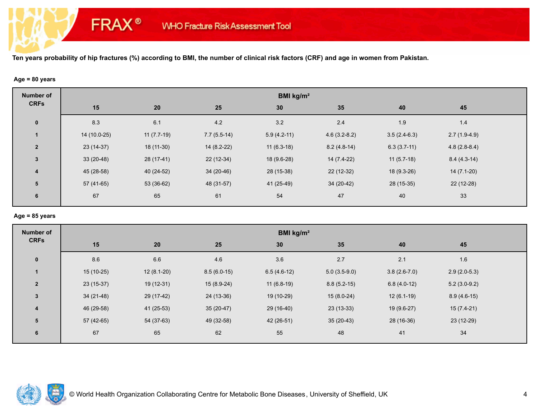## **Age = 80 years**

**FRAX®** 

| <b>Number of</b>        | BMI kg/m <sup>2</sup> |              |               |               |                |                |                |  |  |
|-------------------------|-----------------------|--------------|---------------|---------------|----------------|----------------|----------------|--|--|
| <b>CRFs</b>             | 15                    | 20           | 25            | 30            | 35             | 40             | 45             |  |  |
| $\mathbf 0$             | 8.3                   | 6.1          | 4.2           | 3.2           | 2.4            | 1.9            | 1.4            |  |  |
| 1                       | 14 (10.0-25)          | $11(7.7-19)$ | $7.7(5.5-14)$ | $5.9(4.2-11)$ | $4.6(3.2-8.2)$ | $3.5(2.4-6.3)$ | $2.7(1.9-4.9)$ |  |  |
| $\overline{2}$          | 23 (14-37)            | 18 (11-30)   | $14(8.2-22)$  | $11(6.3-18)$  | $8.2(4.8-14)$  | $6.3(3.7-11)$  | $4.8(2.8-8.4)$ |  |  |
| $\mathbf{3}$            | $33(20-48)$           | 28 (17-41)   | $22(12-34)$   | 18 (9.6-28)   | 14 (7.4-22)    | $11(5.7-18)$   | $8.4(4.3-14)$  |  |  |
| $\overline{\mathbf{4}}$ | 45 (28-58)            | 40 (24-52)   | 34 (20-46)    | 28 (15-38)    | $22(12-32)$    | 18 (9.3-26)    | $14(7.1-20)$   |  |  |
| 5                       | 57 (41-65)            | 53 (36-62)   | 48 (31-57)    | 41 (25-49)    | 34 (20-42)     | 28 (15-35)     | $22(12-28)$    |  |  |
| 6                       | 67                    | 65           | 61            | 54            | 47             | 40             | 33             |  |  |

#### **Age = 85 years**

| <b>Number of</b>        | BMI kg/m <sup>2</sup> |              |               |               |                |                |                |  |  |
|-------------------------|-----------------------|--------------|---------------|---------------|----------------|----------------|----------------|--|--|
| <b>CRFs</b>             | 15                    | 20           | 25            | 30            | 35             | 40             | 45             |  |  |
| $\mathbf{0}$            | 8.6                   | 6.6          | 4.6           | 3.6           | 2.7            | 2.1            | 1.6            |  |  |
| $\mathbf{1}$            | $15(10-25)$           | $12(8.1-20)$ | $8.5(6.0-15)$ | $6.5(4.6-12)$ | $5.0(3.5-9.0)$ | $3.8(2.6-7.0)$ | $2.9(2.0-5.3)$ |  |  |
| $\overline{2}$          | 23 (15-37)            | 19 (12-31)   | $15(8.9-24)$  | $11(6.8-19)$  | $8.8(5.2-15)$  | $6.8(4.0-12)$  | $5.2(3.0-9.2)$ |  |  |
| $\mathbf{3}$            | $34(21-48)$           | 29 (17-42)   | 24 (13-36)    | 19 (10-29)    | $15(8.0-24)$   | $12(6.1-19)$   | $8.9(4.6-15)$  |  |  |
| $\overline{\mathbf{4}}$ | 46 (29-58)            | $41(25-53)$  | $35(20-47)$   | 29 (16-40)    | $23(13-33)$    | 19 (9.6-27)    | $15(7.4-21)$   |  |  |
| 5                       | 57 (42-65)            | 54 (37-63)   | 49 (32-58)    | 42 (26-51)    | $35(20-43)$    | 28 (16-36)     | 23 (12-29)     |  |  |
| 6                       | 67                    | 65           | 62            | 55            | 48             | 41             | 34             |  |  |